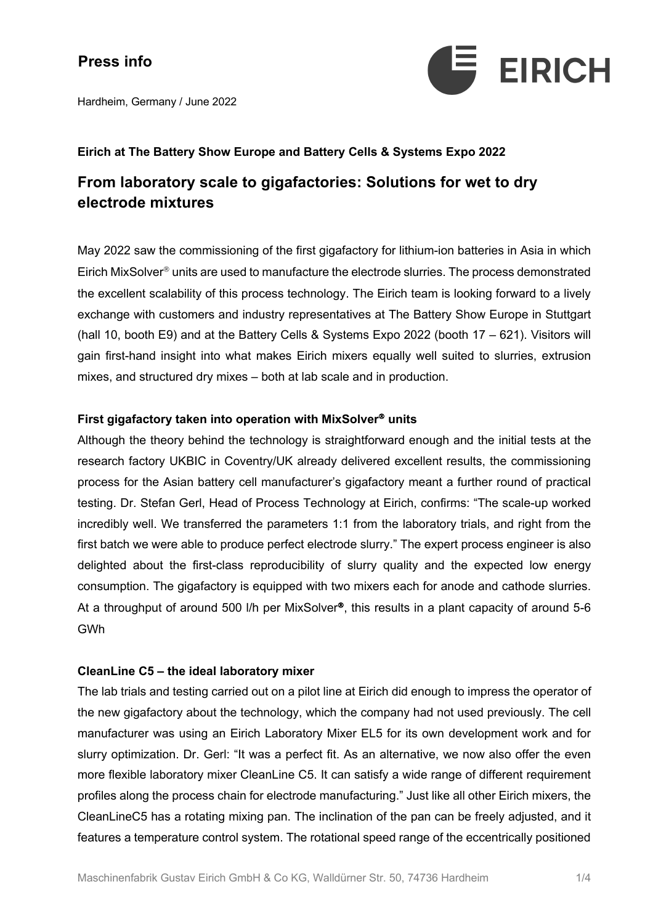

Hardheim, Germany / June 2022

### **Eirich at The Battery Show Europe and Battery Cells & Systems Expo 2022**

### **From laboratory scale to gigafactories: Solutions for wet to dry electrode mixtures**

May 2022 saw the commissioning of the first gigafactory for lithium-ion batteries in Asia in which Eirich MixSolver<sup>®</sup> units are used to manufacture the electrode slurries. The process demonstrated the excellent scalability of this process technology. The Eirich team is looking forward to a lively exchange with customers and industry representatives at The Battery Show Europe in Stuttgart (hall 10, booth E9) and at the Battery Cells & Systems Expo 2022 (booth 17 – 621). Visitors will gain first-hand insight into what makes Eirich mixers equally well suited to slurries, extrusion mixes, and structured dry mixes – both at lab scale and in production.

#### **First gigafactory taken into operation with MixSolver<sup>®</sup> units**

Although the theory behind the technology is straightforward enough and the initial tests at the research factory UKBIC in Coventry/UK already delivered excellent results, the commissioning process for the Asian battery cell manufacturer's gigafactory meant a further round of practical testing. Dr. Stefan Gerl, Head of Process Technology at Eirich, confirms: "The scale-up worked incredibly well. We transferred the parameters 1:1 from the laboratory trials, and right from the first batch we were able to produce perfect electrode slurry." The expert process engineer is also delighted about the first-class reproducibility of slurry quality and the expected low energy consumption. The gigafactory is equipped with two mixers each for anode and cathode slurries. At a throughput of around 500 I/h per MixSolver<sup>®</sup>, this results in a plant capacity of around 5-6 GWh

#### **CleanLine C5 – the ideal laboratory mixer**

The lab trials and testing carried out on a pilot line at Eirich did enough to impress the operator of the new gigafactory about the technology, which the company had not used previously. The cell manufacturer was using an Eirich Laboratory Mixer EL5 for its own development work and for slurry optimization. Dr. Gerl: "It was a perfect fit. As an alternative, we now also offer the even more flexible laboratory mixer CleanLine C5. It can satisfy a wide range of different requirement profiles along the process chain for electrode manufacturing." Just like all other Eirich mixers, the CleanLineC5 has a rotating mixing pan. The inclination of the pan can be freely adjusted, and it features a temperature control system. The rotational speed range of the eccentrically positioned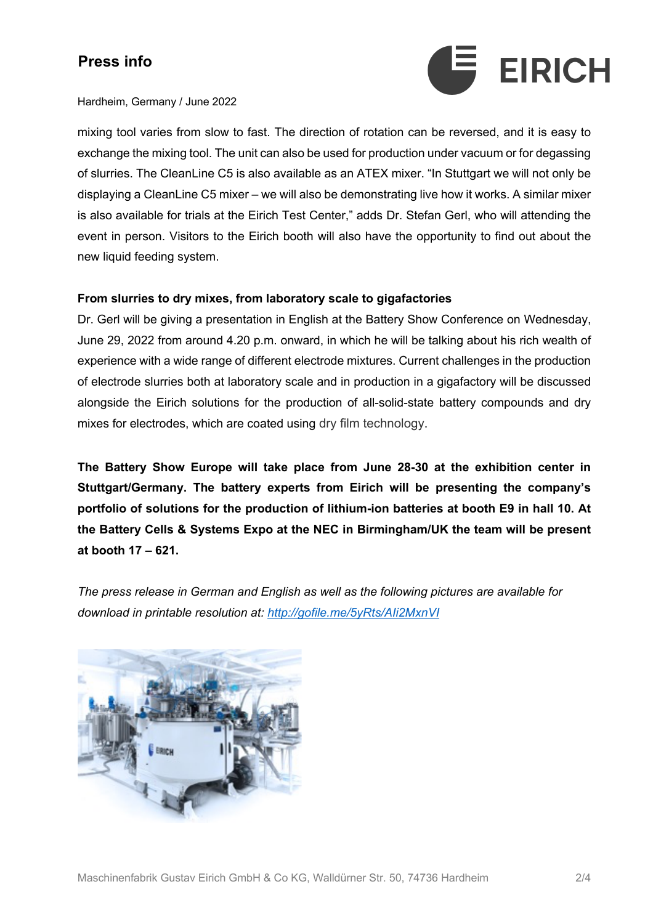

#### Hardheim, Germany / June 2022

mixing tool varies from slow to fast. The direction of rotation can be reversed, and it is easy to exchange the mixing tool. The unit can also be used for production under vacuum or for degassing of slurries. The CleanLine C5 is also available as an ATEX mixer. "In Stuttgart we will not only be displaying a CleanLine C5 mixer – we will also be demonstrating live how it works. A similar mixer is also available for trials at the Eirich Test Center," adds Dr. Stefan Gerl, who will attending the event in person. Visitors to the Eirich booth will also have the opportunity to find out about the new liquid feeding system.

### **From slurries to dry mixes, from laboratory scale to gigafactories**

Dr. Gerl will be giving a presentation in English at the Battery Show Conference on Wednesday, June 29, 2022 from around 4.20 p.m. onward, in which he will be talking about his rich wealth of experience with a wide range of different electrode mixtures. Current challenges in the production of electrode slurries both at laboratory scale and in production in a gigafactory will be discussed alongside the Eirich solutions for the production of all-solid-state battery compounds and dry mixes for electrodes, which are coated using dry film technology.

**The Battery Show Europe will take place from June 28-30 at the exhibition center in Stuttgart/Germany. The battery experts from Eirich will be presenting the company's portfolio of solutions for the production of lithium-ion batteries at booth E9 in hall 10. At the Battery Cells & Systems Expo at the NEC in Birmingham/UK the team will be present at booth 17 – 621.**

*The press release in German and English as well as the following pictures are available for download in printable resolution at: http://gofile.me/5yRts/AIi2MxnVI*

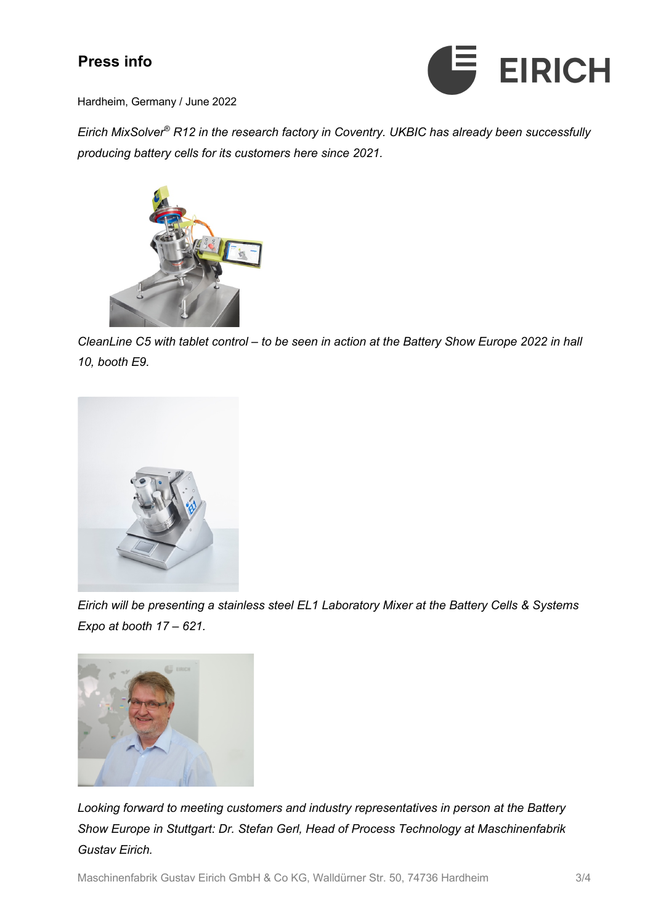

Hardheim, Germany / June 2022

*Eirich MixSolver® R12 in the research factory in Coventry. UKBIC has already been successfully producing battery cells for its customers here since 2021.*



*CleanLine C5 with tablet control – to be seen in action at the Battery Show Europe 2022 in hall 10, booth E9.*



*Eirich will be presenting a stainless steel EL1 Laboratory Mixer at the Battery Cells & Systems Expo at booth 17 – 621.*



*Looking forward to meeting customers and industry representatives in person at the Battery Show Europe in Stuttgart: Dr. Stefan Gerl, Head of Process Technology at Maschinenfabrik Gustav Eirich.*